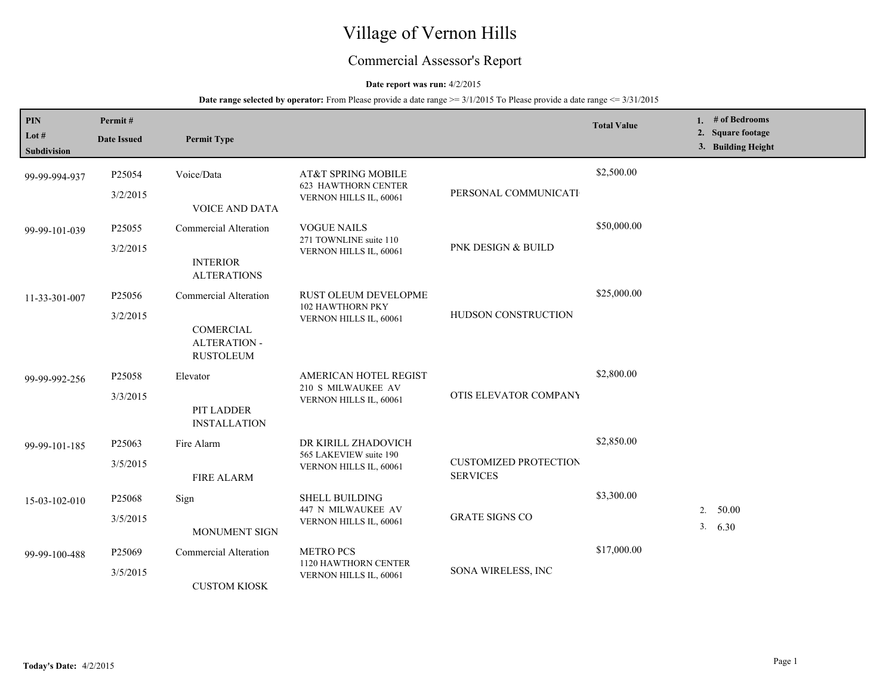# Village of Vernon Hills

## Commercial Assessor's Report

### **Date report was run:** 4/2/2015

| PIN<br>Lot $#$<br><b>Subdivision</b> | Permit#<br><b>Date Issued</b>  | <b>Permit Type</b>                                                            |                                                                                  |                                                 | <b>Total Value</b> |    | 1. # of Bedrooms<br>2. Square footage<br>3. Building Height |
|--------------------------------------|--------------------------------|-------------------------------------------------------------------------------|----------------------------------------------------------------------------------|-------------------------------------------------|--------------------|----|-------------------------------------------------------------|
| 99-99-994-937                        | P <sub>25054</sub><br>3/2/2015 | Voice/Data<br><b>VOICE AND DATA</b>                                           | AT&T SPRING MOBILE<br><b>623 HAWTHORN CENTER</b><br>VERNON HILLS IL, 60061       | PERSONAL COMMUNICATI                            | \$2,500.00         |    |                                                             |
| 99-99-101-039                        | P <sub>25055</sub><br>3/2/2015 | <b>Commercial Alteration</b><br><b>INTERIOR</b><br><b>ALTERATIONS</b>         | <b>VOGUE NAILS</b><br>271 TOWNLINE suite 110<br>VERNON HILLS IL, 60061           | PNK DESIGN & BUILD                              | \$50,000.00        |    |                                                             |
| 11-33-301-007                        | P25056<br>3/2/2015             | Commercial Alteration<br>COMERCIAL<br><b>ALTERATION -</b><br><b>RUSTOLEUM</b> | <b>RUST OLEUM DEVELOPME</b><br><b>102 HAWTHORN PKY</b><br>VERNON HILLS IL, 60061 | HUDSON CONSTRUCTION                             | \$25,000.00        |    |                                                             |
| 99-99-992-256                        | P <sub>25058</sub><br>3/3/2015 | Elevator<br>PIT LADDER<br><b>INSTALLATION</b>                                 | AMERICAN HOTEL REGIST<br>210 S MILWAUKEE AV<br>VERNON HILLS IL, 60061            | OTIS ELEVATOR COMPANY                           | \$2,800.00         |    |                                                             |
| 99-99-101-185                        | P25063<br>3/5/2015             | Fire Alarm<br><b>FIRE ALARM</b>                                               | DR KIRILL ZHADOVICH<br>565 LAKEVIEW suite 190<br>VERNON HILLS IL, 60061          | <b>CUSTOMIZED PROTECTION</b><br><b>SERVICES</b> | \$2,850.00         |    |                                                             |
| 15-03-102-010                        | P <sub>25068</sub><br>3/5/2015 | Sign<br><b>MONUMENT SIGN</b>                                                  | <b>SHELL BUILDING</b><br>447 N MILWAUKEE AV<br>VERNON HILLS IL, 60061            | <b>GRATE SIGNS CO</b>                           | \$3,300.00         | 2. | 50.00<br>3.630                                              |
| 99-99-100-488                        | P <sub>25069</sub><br>3/5/2015 | Commercial Alteration<br><b>CUSTOM KIOSK</b>                                  | <b>METRO PCS</b><br>1120 HAWTHORN CENTER<br>VERNON HILLS IL, 60061               | SONA WIRELESS, INC                              | \$17,000.00        |    |                                                             |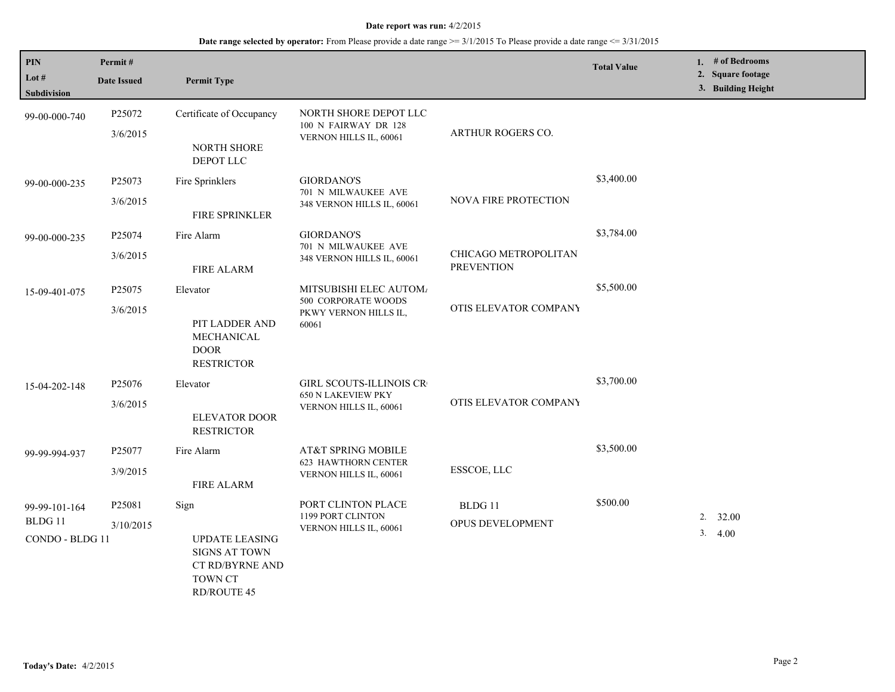| <b>PIN</b><br>Lot $#$<br><b>Subdivision</b> | Permit#<br><b>Date Issued</b>  | <b>Permit Type</b>                                                                                        |                                                                                 |                                           | <b>Total Value</b> | 1. # of Bedrooms<br>2. Square footage<br>3. Building Height |
|---------------------------------------------|--------------------------------|-----------------------------------------------------------------------------------------------------------|---------------------------------------------------------------------------------|-------------------------------------------|--------------------|-------------------------------------------------------------|
| 99-00-000-740                               | P25072<br>3/6/2015             | Certificate of Occupancy<br>NORTH SHORE<br>DEPOT LLC                                                      | NORTH SHORE DEPOT LLC<br>100 N FAIRWAY DR 128<br>VERNON HILLS IL, 60061         | ARTHUR ROGERS CO.                         |                    |                                                             |
| 99-00-000-235                               | P25073<br>3/6/2015             | Fire Sprinklers<br>FIRE SPRINKLER                                                                         | <b>GIORDANO'S</b><br>701 N MILWAUKEE AVE<br>348 VERNON HILLS IL, 60061          | <b>NOVA FIRE PROTECTION</b>               | \$3,400.00         |                                                             |
| 99-00-000-235                               | P25074<br>3/6/2015             | Fire Alarm<br><b>FIRE ALARM</b>                                                                           | <b>GIORDANO'S</b><br>701 N MILWAUKEE AVE<br>348 VERNON HILLS IL, 60061          | CHICAGO METROPOLITAN<br><b>PREVENTION</b> | \$3,784.00         |                                                             |
| 15-09-401-075                               | P <sub>25075</sub><br>3/6/2015 | Elevator<br>PIT LADDER AND<br>MECHANICAL<br><b>DOOR</b><br><b>RESTRICTOR</b>                              | MITSUBISHI ELEC AUTOM.<br>500 CORPORATE WOODS<br>PKWY VERNON HILLS IL,<br>60061 | OTIS ELEVATOR COMPANY                     | \$5,500.00         |                                                             |
| 15-04-202-148                               | P25076<br>3/6/2015             | Elevator<br><b>ELEVATOR DOOR</b><br><b>RESTRICTOR</b>                                                     | GIRL SCOUTS-ILLINOIS CR<br><b>650 N LAKEVIEW PKY</b><br>VERNON HILLS IL, 60061  | OTIS ELEVATOR COMPANY                     | \$3,700.00         |                                                             |
| 99-99-994-937                               | P25077<br>3/9/2015             | Fire Alarm<br><b>FIRE ALARM</b>                                                                           | AT&T SPRING MOBILE<br><b>623 HAWTHORN CENTER</b><br>VERNON HILLS IL, 60061      | ESSCOE, LLC                               | \$3,500.00         |                                                             |
| 99-99-101-164<br>BLDG 11<br>CONDO - BLDG 11 | P25081<br>3/10/2015            | Sign<br><b>UPDATE LEASING</b><br><b>SIGNS AT TOWN</b><br>CT RD/BYRNE AND<br>TOWN CT<br><b>RD/ROUTE 45</b> | PORT CLINTON PLACE<br>1199 PORT CLINTON<br>VERNON HILLS IL, 60061               | BLDG 11<br>OPUS DEVELOPMENT               | \$500.00           | 32.00<br>2.<br>3.<br>4.00                                   |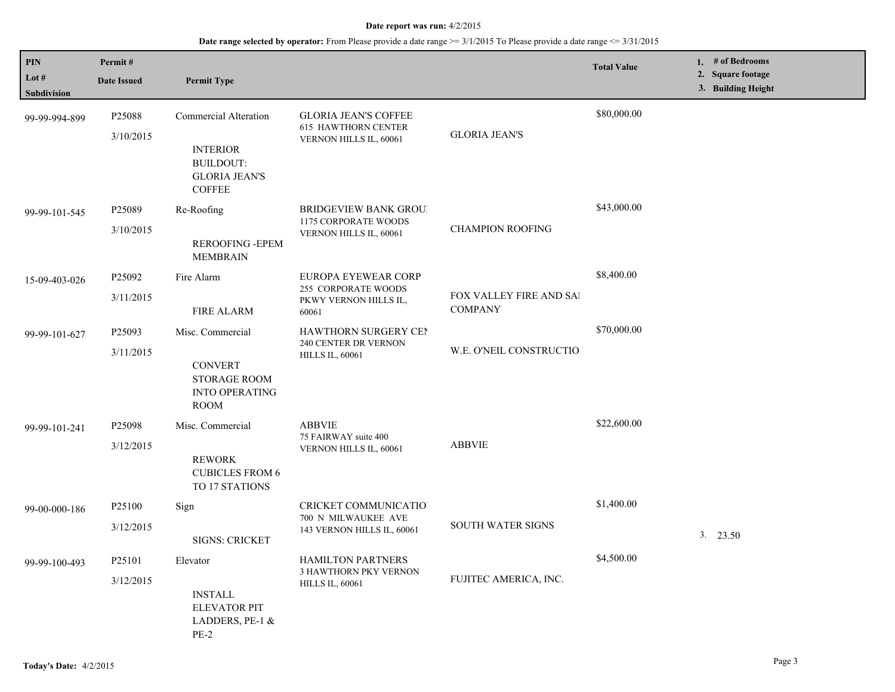| PIN                  | Permit#                         |                                                                                                       |                                                                                       |                                           | <b>Total Value</b> | 1. # of Bedrooms<br>2. Square footage |
|----------------------|---------------------------------|-------------------------------------------------------------------------------------------------------|---------------------------------------------------------------------------------------|-------------------------------------------|--------------------|---------------------------------------|
| Lot #<br>Subdivision | <b>Date Issued</b>              | <b>Permit Type</b>                                                                                    |                                                                                       |                                           |                    | 3. Building Height                    |
| 99-99-994-899        | P25088<br>3/10/2015             | Commercial Alteration<br><b>INTERIOR</b><br><b>BUILDOUT:</b><br><b>GLORIA JEAN'S</b><br><b>COFFEE</b> | <b>GLORIA JEAN'S COFFEE</b><br><b>615 HAWTHORN CENTER</b><br>VERNON HILLS IL, 60061   | <b>GLORIA JEAN'S</b>                      | \$80,000.00        |                                       |
| 99-99-101-545        | P25089<br>3/10/2015             | Re-Roofing<br>REROOFING - EPEM<br><b>MEMBRAIN</b>                                                     | <b>BRIDGEVIEW BANK GROU!</b><br><b>1175 CORPORATE WOODS</b><br>VERNON HILLS IL, 60061 | <b>CHAMPION ROOFING</b>                   | \$43,000.00        |                                       |
| 15-09-403-026        | P25092<br>3/11/2015             | Fire Alarm<br><b>FIRE ALARM</b>                                                                       | EUROPA EYEWEAR CORP<br>255 CORPORATE WOODS<br>PKWY VERNON HILLS IL,<br>60061          | FOX VALLEY FIRE AND SAI<br><b>COMPANY</b> | \$8,400.00         |                                       |
| 99-99-101-627        | P25093<br>3/11/2015             | Misc. Commercial<br><b>CONVERT</b><br><b>STORAGE ROOM</b><br><b>INTO OPERATING</b><br><b>ROOM</b>     | HAWTHORN SURGERY CEN<br>240 CENTER DR VERNON<br><b>HILLS IL, 60061</b>                | W.E. O'NEIL CONSTRUCTIO                   | \$70,000.00        |                                       |
| 99-99-101-241        | P <sub>25098</sub><br>3/12/2015 | Misc. Commercial<br><b>REWORK</b><br><b>CUBICLES FROM 6</b><br>TO 17 STATIONS                         | <b>ABBVIE</b><br>75 FAIRWAY suite 400<br>VERNON HILLS IL, 60061                       | <b>ABBVIE</b>                             | \$22,600.00        |                                       |
| 99-00-000-186        | P <sub>25100</sub><br>3/12/2015 | Sign<br><b>SIGNS: CRICKET</b>                                                                         | <b>CRICKET COMMUNICATIO</b><br>700 N MILWAUKEE AVE<br>143 VERNON HILLS IL, 60061      | <b>SOUTH WATER SIGNS</b>                  | \$1,400.00         | 3. 23.50                              |
| 99-99-100-493        | P25101<br>3/12/2015             | Elevator<br><b>INSTALL</b><br><b>ELEVATOR PIT</b><br>LADDERS, PE-1 &<br>$PE-2$                        | HAMILTON PARTNERS<br>3 HAWTHORN PKY VERNON<br><b>HILLS IL, 60061</b>                  | FUJITEC AMERICA, INC.                     | \$4,500.00         |                                       |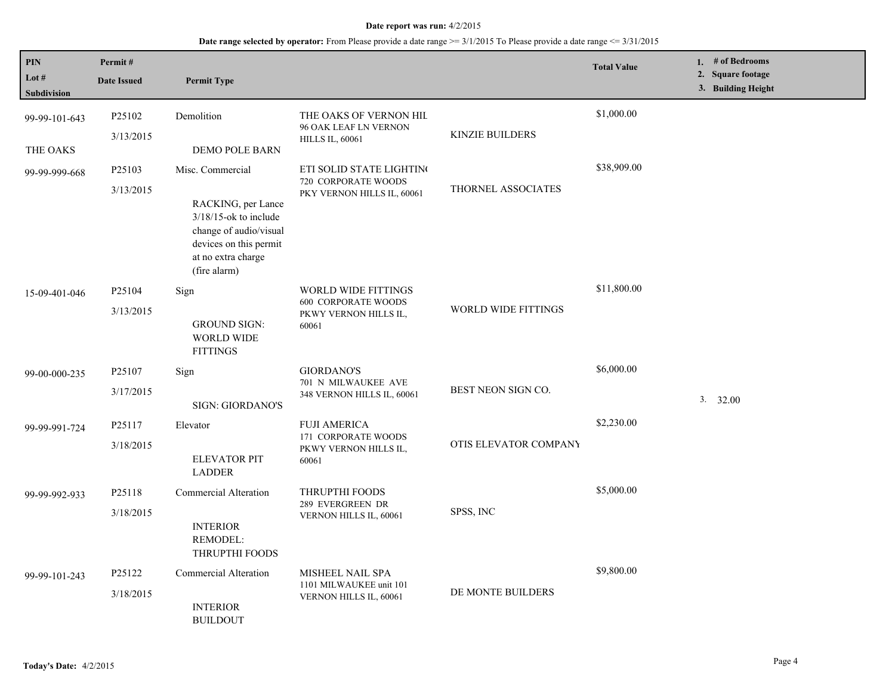| PIN<br>Lot $#$<br><b>Subdivision</b> | Permit#<br><b>Date Issued</b>   | <b>Permit Type</b>                                                                                                                                           |                                                                                            |                            | <b>Total Value</b> | 1. # of Bedrooms<br>2. Square footage<br>3. Building Height |
|--------------------------------------|---------------------------------|--------------------------------------------------------------------------------------------------------------------------------------------------------------|--------------------------------------------------------------------------------------------|----------------------------|--------------------|-------------------------------------------------------------|
| 99-99-101-643<br>THE OAKS            | P <sub>25102</sub><br>3/13/2015 | Demolition<br>DEMO POLE BARN                                                                                                                                 | THE OAKS OF VERNON HIL<br>96 OAK LEAF LN VERNON<br><b>HILLS IL, 60061</b>                  | <b>KINZIE BUILDERS</b>     | \$1,000.00         |                                                             |
| 99-99-999-668                        | P25103<br>3/13/2015             | Misc. Commercial<br>RACKING, per Lance<br>$3/18/15$ -ok to include<br>change of audio/visual<br>devices on this permit<br>at no extra charge<br>(fire alarm) | ETI SOLID STATE LIGHTING<br>720 CORPORATE WOODS<br>PKY VERNON HILLS IL, 60061              | THORNEL ASSOCIATES         | \$38,909.00        |                                                             |
| 15-09-401-046                        | P25104<br>3/13/2015             | Sign<br><b>GROUND SIGN:</b><br><b>WORLD WIDE</b><br><b>FITTINGS</b>                                                                                          | <b>WORLD WIDE FITTINGS</b><br><b>600 CORPORATE WOODS</b><br>PKWY VERNON HILLS IL,<br>60061 | <b>WORLD WIDE FITTINGS</b> | \$11,800.00        |                                                             |
| 99-00-000-235                        | P25107<br>3/17/2015             | Sign<br><b>SIGN: GIORDANO'S</b>                                                                                                                              | <b>GIORDANO'S</b><br>701 N MILWAUKEE AVE<br>348 VERNON HILLS IL, 60061                     | BEST NEON SIGN CO.         | \$6,000.00         | 3. 32.00                                                    |
| 99-99-991-724                        | P25117<br>3/18/2015             | Elevator<br><b>ELEVATOR PIT</b><br><b>LADDER</b>                                                                                                             | <b>FUJI AMERICA</b><br>171 CORPORATE WOODS<br>PKWY VERNON HILLS IL,<br>60061               | OTIS ELEVATOR COMPANY      | \$2,230.00         |                                                             |
| 99-99-992-933                        | P25118<br>3/18/2015             | Commercial Alteration<br><b>INTERIOR</b><br><b>REMODEL:</b><br>THRUPTHI FOODS                                                                                | THRUPTHI FOODS<br>289 EVERGREEN DR<br>VERNON HILLS IL, 60061                               | SPSS, INC                  | \$5,000.00         |                                                             |
| 99-99-101-243                        | P25122<br>3/18/2015             | Commercial Alteration<br><b>INTERIOR</b><br><b>BUILDOUT</b>                                                                                                  | MISHEEL NAIL SPA<br>1101 MILWAUKEE unit 101<br>VERNON HILLS IL, 60061                      | DE MONTE BUILDERS          | \$9,800.00         |                                                             |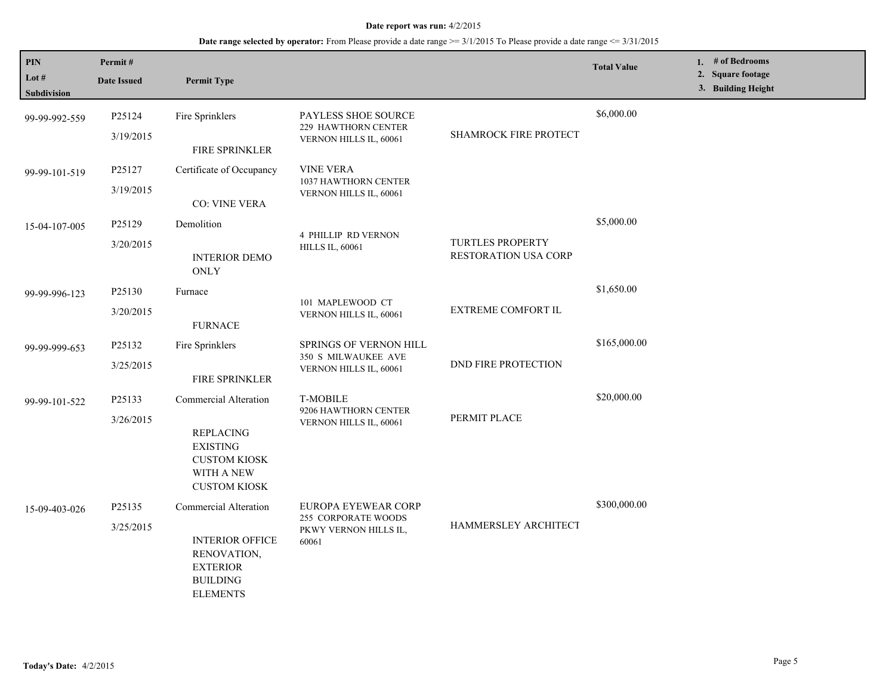| <b>PIN</b><br>Lot $#$<br>Subdivision | Permit#<br><b>Date Issued</b> | <b>Permit Type</b>                                                                                                              |                                                                                |                                                 | <b>Total Value</b> | 1. $#$ of Bedrooms<br>2. Square footage<br>3. Building Height |
|--------------------------------------|-------------------------------|---------------------------------------------------------------------------------------------------------------------------------|--------------------------------------------------------------------------------|-------------------------------------------------|--------------------|---------------------------------------------------------------|
| 99-99-992-559                        | P25124<br>3/19/2015           | Fire Sprinklers<br>FIRE SPRINKLER                                                                                               | PAYLESS SHOE SOURCE<br>229 HAWTHORN CENTER<br>VERNON HILLS IL, 60061           | SHAMROCK FIRE PROTECT                           | \$6,000.00         |                                                               |
| 99-99-101-519                        | P25127<br>3/19/2015           | Certificate of Occupancy<br><b>CO: VINE VERA</b>                                                                                | <b>VINE VERA</b><br>1037 HAWTHORN CENTER<br>VERNON HILLS IL, 60061             |                                                 |                    |                                                               |
| 15-04-107-005                        | P25129<br>3/20/2015           | Demolition<br><b>INTERIOR DEMO</b><br><b>ONLY</b>                                                                               | <b>4 PHILLIP RD VERNON</b><br><b>HILLS IL, 60061</b>                           | <b>TURTLES PROPERTY</b><br>RESTORATION USA CORP | \$5,000.00         |                                                               |
| 99-99-996-123                        | P25130<br>3/20/2015           | Furnace<br><b>FURNACE</b>                                                                                                       | 101 MAPLEWOOD CT<br>VERNON HILLS IL, 60061                                     | <b>EXTREME COMFORT IL</b>                       | \$1,650.00         |                                                               |
| 99-99-999-653                        | P25132<br>3/25/2015           | Fire Sprinklers<br>FIRE SPRINKLER                                                                                               | <b>SPRINGS OF VERNON HILL</b><br>350 S MILWAUKEE AVE<br>VERNON HILLS IL, 60061 | <b>DND FIRE PROTECTION</b>                      | \$165,000.00       |                                                               |
| 99-99-101-522                        | P25133<br>3/26/2015           | <b>Commercial Alteration</b><br><b>REPLACING</b><br><b>EXISTING</b><br><b>CUSTOM KIOSK</b><br>WITH A NEW<br><b>CUSTOM KIOSK</b> | <b>T-MOBILE</b><br>9206 HAWTHORN CENTER<br>VERNON HILLS IL, 60061              | PERMIT PLACE                                    | \$20,000.00        |                                                               |
| 15-09-403-026                        | P25135<br>3/25/2015           | Commercial Alteration<br><b>INTERIOR OFFICE</b><br>RENOVATION,<br><b>EXTERIOR</b><br><b>BUILDING</b><br><b>ELEMENTS</b>         | EUROPA EYEWEAR CORP<br>255 CORPORATE WOODS<br>PKWY VERNON HILLS IL,<br>60061   | HAMMERSLEY ARCHITECT                            | \$300,000.00       |                                                               |